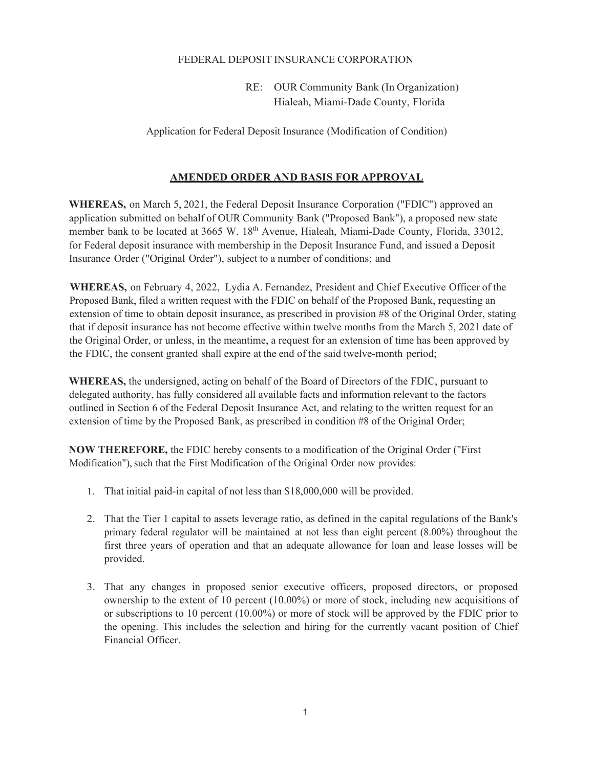## FEDERAL DEPOSIT INSURANCE CORPORATION

RE: OUR Community Bank (In Organization) Hialeah, Miami-Dade County, Florida

Application for Federal Deposit Insurance (Modification of Condition)

## **AMENDED ORDER AND BASIS FOR APPROVAL**

**WHEREAS,** on March 5, 2021, the Federal Deposit Insurance Corporation ("FDIC") approved an application submitted on behalf of OUR Community Bank ("Proposed Bank"), a proposed new state member bank to be located at 3665 W. 18<sup>th</sup> Avenue, Hialeah, Miami-Dade County, Florida, 33012, for Federal deposit insurance with membership in the Deposit Insurance Fund, and issued a Deposit Insurance Order ("Original Order"), subject to a number of conditions; and

**WHEREAS,** on February 4, 2022, Lydia A. Fernandez, President and Chief Executive Officer of the Proposed Bank, filed a written request with the FDIC on behalf of the Proposed Bank, requesting an extension of time to obtain deposit insurance, as prescribed in provision #8 of the Original Order, stating that if deposit insurance has not become effective within twelve months from the March 5, 2021 date of the Original Order, or unless, in the meantime, a request for an extension of time has been approved by the FDIC, the consent granted shall expire at the end of the said twelve-month period;

**WHEREAS,** the undersigned, acting on behalf of the Board of Directors of the FDIC, pursuant to delegated authority, has fully considered all available facts and information relevant to the factors outlined in Section 6 of the Federal Deposit Insurance Act, and relating to the written request for an extension of time by the Proposed Bank, as prescribed in condition #8 of the Original Order;

**NOW THEREFORE,** the FDIC hereby consents to a modification of the Original Order ("First Modification"), such that the First Modification of the Original Order now provides:

- 1. That initial paid-in capital of not less than \$18,000,000 will be provided.
- 2. That the Tier 1 capital to assets leverage ratio, as defined in the capital regulations of the Bank's primary federal regulator will be maintained at not less than eight percent (8.00%) throughout the first three years of operation and that an adequate allowance for loan and lease losses will be provided.
- 3. That any changes in proposed senior executive officers, proposed directors, or proposed ownership to the extent of 10 percent (10.00%) or more of stock, including new acquisitions of or subscriptions to 10 percent (10.00%) or more of stock will be approved by the FDIC prior to the opening. This includes the selection and hiring for the currently vacant position of Chief Financial Officer.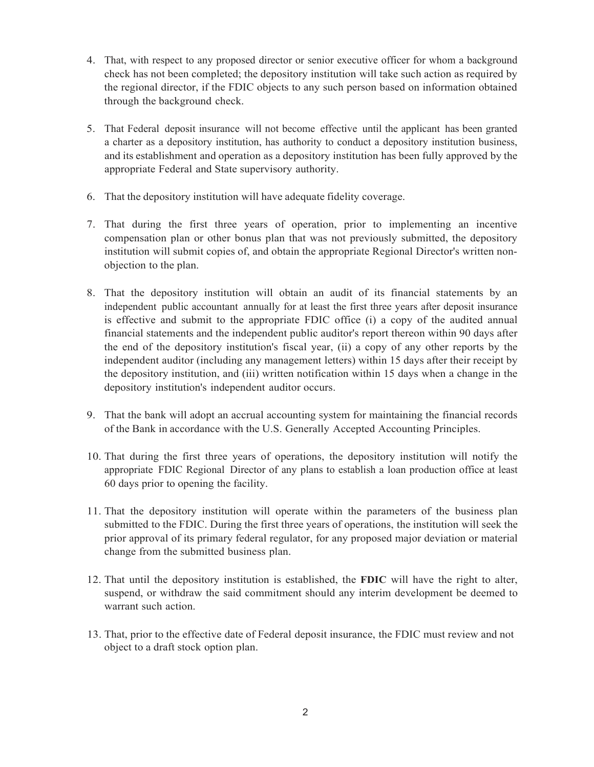- 4. That, with respect to any proposed director or senior executive officer for whom a background check has not been completed; the depository institution will take such action as required by the regional director, if the FDIC objects to any such person based on information obtained through the background check.
- 5. That Federal deposit insurance will not become effective until the applicant has been granted a charter as a depository institution, has authority to conduct a depository institution business, and its establishment and operation as a depository institution has been fully approved by the appropriate Federal and State supervisory authority.
- 6. That the depository institution will have adequate fidelity coverage.
- 7. That during the first three years of operation, prior to implementing an incentive compensation plan or other bonus plan that was not previously submitted, the depository institution will submit copies of, and obtain the appropriate Regional Director's written nonobjection to the plan.
- 8. That the depository institution will obtain an audit of its financial statements by an independent public accountant annually for at least the first three years after deposit insurance is effective and submit to the appropriate FDIC office (i) a copy of the audited annual financial statements and the independent public auditor's report thereon within 90 days after the end of the depository institution's fiscal year, (ii) a copy of any other reports by the independent auditor (including any management letters) within 15 days after their receipt by the depository institution, and (iii) written notification within 15 days when a change in the depository institution's independent auditor occurs.
- 9. That the bank will adopt an accrual accounting system for maintaining the financial records of the Bank in accordance with the U.S. Generally Accepted Accounting Principles.
- 10. That during the first three years of operations, the depository institution will notify the appropriate FDIC Regional Director of any plans to establish a loan production office at least 60 days prior to opening the facility.
- 11. That the depository institution will operate within the parameters of the business plan submitted to the FDIC. During the first three years of operations, the institution will seek the prior approval of its primary federal regulator, for any proposed major deviation or material change from the submitted business plan.
- 12. That until the depository institution is established, the **FDIC** will have the right to alter, suspend, or withdraw the said commitment should any interim development be deemed to warrant such action.
- 13. That, prior to the effective date of Federal deposit insurance, the FDIC must review and not object to a draft stock option plan.